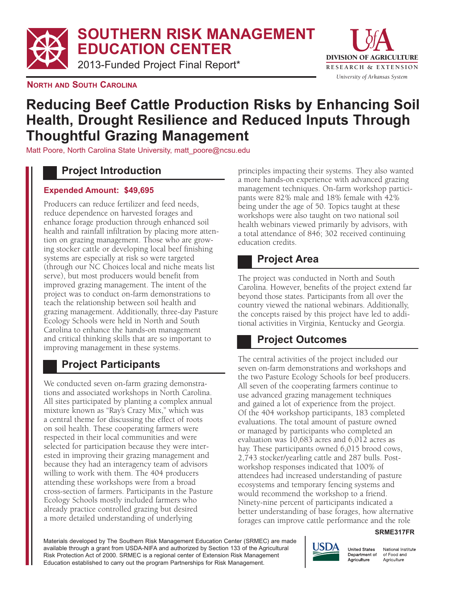**SOUTHERN RISK MANAGEMENT EDUCATION CENTER**

2013-Funded Project Final Report\*





# **Reducing Beef Cattle Production Risks by Enhancing Soil Health, Drought Resilience and Reduced Inputs Through Thoughtful Grazing Management**

Matt Poore, North Carolina State University, matt poore@ncsu.edu

#### **Project Introduction**

#### **Expended Amount: \$49,695**

Producers can reduce fertilizer and feed needs, reduce dependence on harvested forages and enhance forage production through enhanced soil health and rainfall infiltration by placing more attention on grazing management. Those who are growing stocker cattle or developing local beef finishing systems are especially at risk so were targeted (through our NC Choices local and niche meats list serve), but most producers would benefit from improved grazing management. The intent of the project was to conduct on-farm demonstrations to teach the relationship between soil health and grazing management. Additionally, three-day Pasture Ecology Schools were held in North and South Carolina to enhance the hands-on management and critical thinking skills that are so important to improving management in these systems.

## **Project Participants**

We conducted seven on-farm grazing demonstrations and associated workshops in North Carolina. All sites participated by planting a complex annual mixture known as "Ray's Crazy Mix," which was a central theme for discussing the effect of roots on soil health. These cooperating farmers were respected in their local communities and were selected for participation because they were interested in improving their grazing management and because they had an interagency team of advisors willing to work with them. The 404 producers attending these workshops were from a broad cross-section of farmers. Participants in the Pasture Ecology Schools mostly included farmers who already practice controlled grazing but desired a more detailed understanding of underlying

principles impacting their systems. They also wanted a more hands-on experience with advanced grazing management techniques. On-farm workshop participants were 82% male and 18% female with 42% being under the age of 50. Topics taught at these workshops were also taught on two national soil health webinars viewed primarily by advisors, with a total attendance of 846; 302 received continuing education credits.

### **Project Area**

The project was conducted in North and South Carolina. However, benefits of the project extend far beyond those states. Participants from all over the country viewed the national webinars. Additionally, the concepts raised by this project have led to additional activities in Virginia, Kentucky and Georgia.

## **Project Outcomes**

The central activities of the project included our seven on-farm demonstrations and workshops and the two Pasture Ecology Schools for beef producers. All seven of the cooperating farmers continue to use advanced grazing management techniques and gained a lot of experience from the project. Of the 404 workshop participants, 183 completed evaluations. The total amount of pasture owned or managed by participants who completed an evaluation was 10,683 acres and 6,012 acres as hay. These participants owned 6,015 brood cows, 2,743 stocker/yearling cattle and 287 bulls. Postworkshop responses indicated that 100% of attendees had increased understanding of pasture ecosystems and temporary fencing systems and would recommend the workshop to a friend. Ninety-nine percent of participants indicated a better understanding of base forages, how alternative forages can improve cattle performance and the role

#### **SRME317FR**

Materials developed by The Southern Risk Management Education Center (SRMEC) are made available through a grant from USDA-NIFA and authorized by Section 133 of the Agricultural Risk Protection Act of 2000. SRMEC is a regional center of Extension Risk Management Education established to carry out the program Partnerships for Risk Management.



National Institute of Food and Agriculture